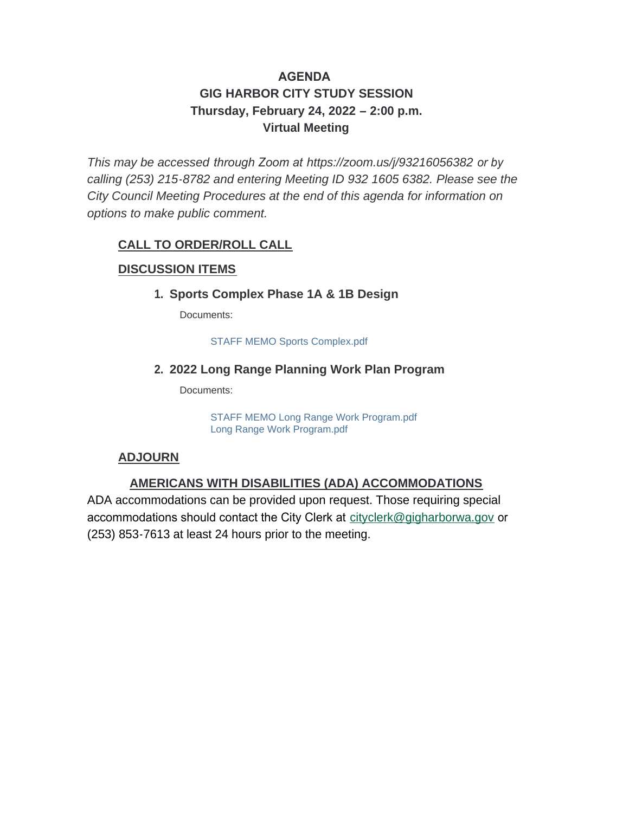### **AGENDA GIG HARBOR CITY STUDY SESSION Thursday, February 24, 2022 – 2:00 p.m. Virtual Meeting**

*This may be accessed through Zoom at <https://zoom.us/j/93216056382> or by calling (253) 215-8782 and entering Meeting ID 932 1605 6382. Please see the City Council Meeting Procedures at the end of this agenda for information on options to make public comment.*

#### **CALL TO ORDER/ROLL CALL**

#### **DISCUSSION ITEMS**

#### **Sports Complex Phase 1A & 1B Design 1.**

Documents:

STAFF MEMO Sports Complex.pdf

#### **2022 Long Range Planning Work Plan Program 2.**

Documents:

STAFF MEMO Long Range Work Program.pdf Long Range Work Program.pdf

#### **ADJOURN**

#### **AMERICANS WITH DISABILITIES (ADA) ACCOMMODATIONS**

ADA accommodations can be provided upon request. Those requiring special accommodations should contact the City Clerk at [cityclerk@gigharborwa.gov](mailto:cityclerk@gigharborwa.gov) or (253) 853-7613 at least 24 hours prior to the meeting.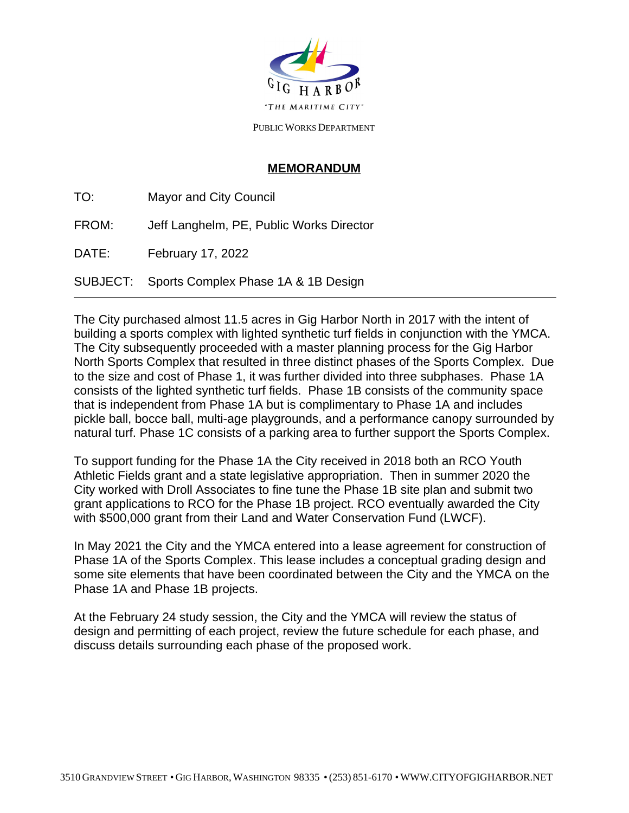

PUBLIC WORKS DEPARTMENT

#### **MEMORANDUM**

TO: Mayor and City Council FROM: Jeff Langhelm, PE, Public Works Director DATE: February 17, 2022 SUBJECT: Sports Complex Phase 1A & 1B Design  $\overline{a}$ 

The City purchased almost 11.5 acres in Gig Harbor North in 2017 with the intent of building a sports complex with lighted synthetic turf fields in conjunction with the YMCA. The City subsequently proceeded with a master planning process for the Gig Harbor North Sports Complex that resulted in three distinct phases of the Sports Complex. Due to the size and cost of Phase 1, it was further divided into three subphases. Phase 1A consists of the lighted synthetic turf fields. Phase 1B consists of the community space that is independent from Phase 1A but is complimentary to Phase 1A and includes pickle ball, bocce ball, multi-age playgrounds, and a performance canopy surrounded by natural turf. Phase 1C consists of a parking area to further support the Sports Complex.

To support funding for the Phase 1A the City received in 2018 both an RCO Youth Athletic Fields grant and a state legislative appropriation. Then in summer 2020 the City worked with Droll Associates to fine tune the Phase 1B site plan and submit two grant applications to RCO for the Phase 1B project. RCO eventually awarded the City with \$500,000 grant from their Land and Water Conservation Fund (LWCF).

In May 2021 the City and the YMCA entered into a lease agreement for construction of Phase 1A of the Sports Complex. This lease includes a conceptual grading design and some site elements that have been coordinated between the City and the YMCA on the Phase 1A and Phase 1B projects.

At the February 24 study session, the City and the YMCA will review the status of design and permitting of each project, review the future schedule for each phase, and discuss details surrounding each phase of the proposed work.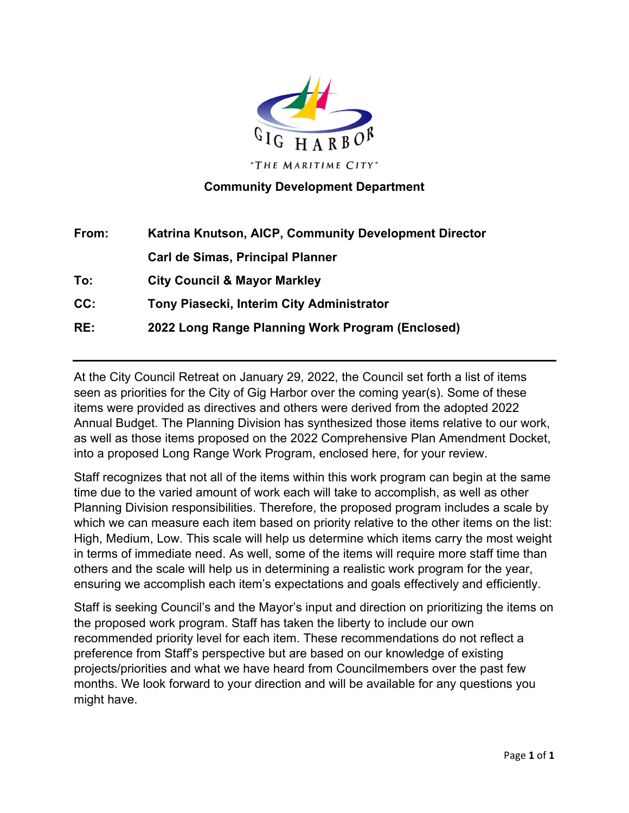

#### **Community Development Department**

| From: | Katrina Knutson, AICP, Community Development Director |
|-------|-------------------------------------------------------|
|       | <b>Carl de Simas, Principal Planner</b>               |
| To:   | <b>City Council &amp; Mayor Markley</b>               |
| CC:   | Tony Piasecki, Interim City Administrator             |
| RE:   | 2022 Long Range Planning Work Program (Enclosed)      |

At the City Council Retreat on January 29, 2022, the Council set forth a list of items seen as priorities for the City of Gig Harbor over the coming year(s). Some of these items were provided as directives and others were derived from the adopted 2022 Annual Budget. The Planning Division has synthesized those items relative to our work, as well as those items proposed on the 2022 Comprehensive Plan Amendment Docket, into a proposed Long Range Work Program, enclosed here, for your review.

Staff recognizes that not all of the items within this work program can begin at the same time due to the varied amount of work each will take to accomplish, as well as other Planning Division responsibilities. Therefore, the proposed program includes a scale by which we can measure each item based on priority relative to the other items on the list: High, Medium, Low. This scale will help us determine which items carry the most weight in terms of immediate need. As well, some of the items will require more staff time than others and the scale will help us in determining a realistic work program for the year, ensuring we accomplish each item's expectations and goals effectively and efficiently.

Staff is seeking Council's and the Mayor's input and direction on prioritizing the items on the proposed work program. Staff has taken the liberty to include our own recommended priority level for each item. These recommendations do not reflect a preference from Staff's perspective but are based on our knowledge of existing projects/priorities and what we have heard from Councilmembers over the past few months. We look forward to your direction and will be available for any questions you might have.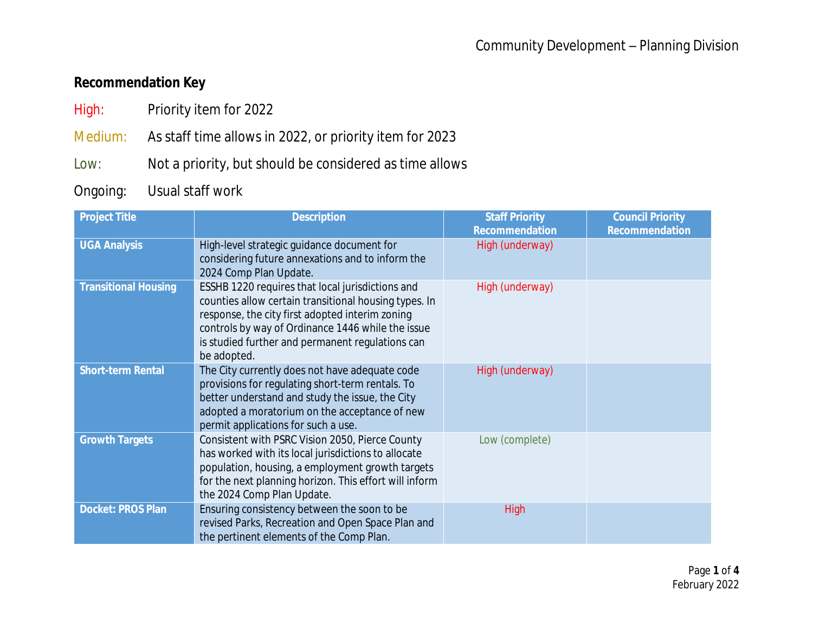### **Recommendation Key**

- High: Priority item for 2022
- Medium: As staff time allows in 2022, or priority item for 2023
- Low: Not a priority, but should be considered as time allows
- Ongoing: Usual staff work

| <b>Project Title</b>        | <b>Description</b>                                                                                                                                                                                                                                                                   | <b>Staff Priority</b><br><b>Recommendation</b> | <b>Council Priority</b><br><b>Recommendation</b> |
|-----------------------------|--------------------------------------------------------------------------------------------------------------------------------------------------------------------------------------------------------------------------------------------------------------------------------------|------------------------------------------------|--------------------------------------------------|
| <b>UGA Analysis</b>         | High-level strategic guidance document for<br>considering future annexations and to inform the<br>2024 Comp Plan Update.                                                                                                                                                             | High (underway)                                |                                                  |
| <b>Transitional Housing</b> | ESSHB 1220 requires that local jurisdictions and<br>counties allow certain transitional housing types. In<br>response, the city first adopted interim zoning<br>controls by way of Ordinance 1446 while the issue<br>is studied further and permanent regulations can<br>be adopted. | High (underway)                                |                                                  |
| <b>Short-term Rental</b>    | The City currently does not have adequate code<br>provisions for regulating short-term rentals. To<br>better understand and study the issue, the City<br>adopted a moratorium on the acceptance of new<br>permit applications for such a use.                                        | High (underway)                                |                                                  |
| <b>Growth Targets</b>       | Consistent with PSRC Vision 2050, Pierce County<br>has worked with its local jurisdictions to allocate<br>population, housing, a employment growth targets<br>for the next planning horizon. This effort will inform<br>the 2024 Comp Plan Update.                                   | Low (complete)                                 |                                                  |
| <b>Docket: PROS Plan</b>    | Ensuring consistency between the soon to be<br>revised Parks, Recreation and Open Space Plan and<br>the pertinent elements of the Comp Plan.                                                                                                                                         | <b>High</b>                                    |                                                  |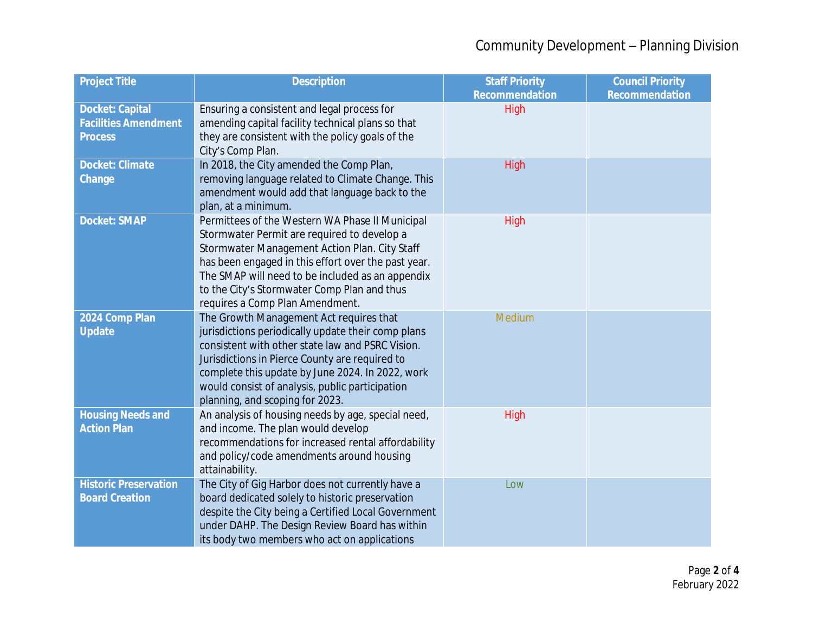# Community Development – Planning Division

| <b>Project Title</b>                                                    | <b>Description</b>                                                                                                                                                                                                                                                                                                                            | <b>Staff Priority</b><br><b>Recommendation</b> | <b>Council Priority</b><br><b>Recommendation</b> |
|-------------------------------------------------------------------------|-----------------------------------------------------------------------------------------------------------------------------------------------------------------------------------------------------------------------------------------------------------------------------------------------------------------------------------------------|------------------------------------------------|--------------------------------------------------|
| <b>Docket: Capital</b><br><b>Facilities Amendment</b><br><b>Process</b> | Ensuring a consistent and legal process for<br>amending capital facility technical plans so that<br>they are consistent with the policy goals of the<br>City's Comp Plan.                                                                                                                                                                     | High                                           |                                                  |
| <b>Docket: Climate</b><br>Change                                        | In 2018, the City amended the Comp Plan,<br>removing language related to Climate Change. This<br>amendment would add that language back to the<br>plan, at a minimum.                                                                                                                                                                         | High                                           |                                                  |
| <b>Docket: SMAP</b>                                                     | Permittees of the Western WA Phase II Municipal<br>Stormwater Permit are required to develop a<br>Stormwater Management Action Plan. City Staff<br>has been engaged in this effort over the past year.<br>The SMAP will need to be included as an appendix<br>to the City's Stormwater Comp Plan and thus<br>requires a Comp Plan Amendment.  | High                                           |                                                  |
| 2024 Comp Plan<br><b>Update</b>                                         | The Growth Management Act requires that<br>jurisdictions periodically update their comp plans<br>consistent with other state law and PSRC Vision.<br>Jurisdictions in Pierce County are required to<br>complete this update by June 2024. In 2022, work<br>would consist of analysis, public participation<br>planning, and scoping for 2023. | Medium                                         |                                                  |
| <b>Housing Needs and</b><br><b>Action Plan</b>                          | An analysis of housing needs by age, special need,<br>and income. The plan would develop<br>recommendations for increased rental affordability<br>and policy/code amendments around housing<br>attainability.                                                                                                                                 | High                                           |                                                  |
| <b>Historic Preservation</b><br><b>Board Creation</b>                   | The City of Gig Harbor does not currently have a<br>board dedicated solely to historic preservation<br>despite the City being a Certified Local Government<br>under DAHP. The Design Review Board has within<br>its body two members who act on applications                                                                                  | Low                                            |                                                  |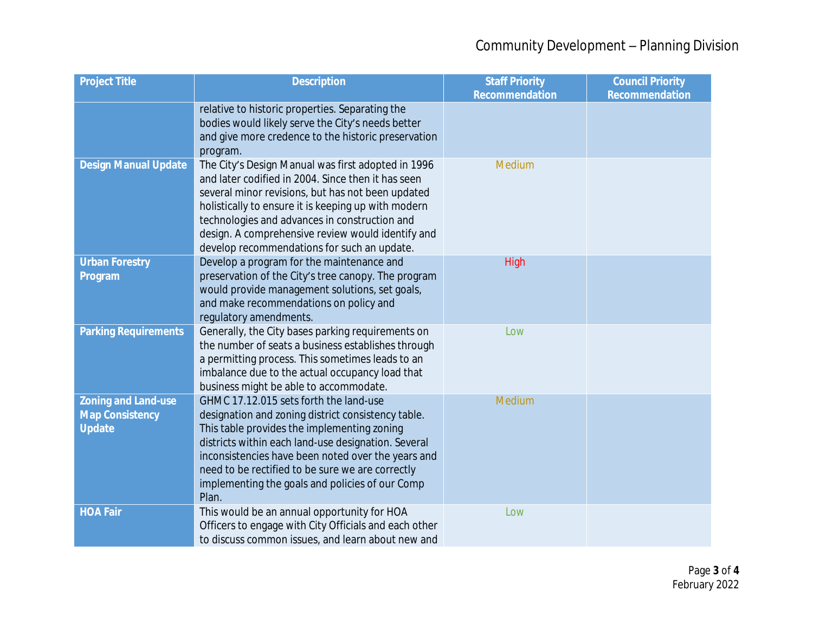| <b>Project Title</b>                                                  | <b>Description</b>                                                                                                                                                                                                                                                                                                                                                        | <b>Staff Priority</b><br><b>Recommendation</b> | <b>Council Priority</b><br><b>Recommendation</b> |
|-----------------------------------------------------------------------|---------------------------------------------------------------------------------------------------------------------------------------------------------------------------------------------------------------------------------------------------------------------------------------------------------------------------------------------------------------------------|------------------------------------------------|--------------------------------------------------|
|                                                                       | relative to historic properties. Separating the<br>bodies would likely serve the City's needs better<br>and give more credence to the historic preservation<br>program.                                                                                                                                                                                                   |                                                |                                                  |
| <b>Design Manual Update</b>                                           | The City's Design Manual was first adopted in 1996<br>and later codified in 2004. Since then it has seen<br>several minor revisions, but has not been updated<br>holistically to ensure it is keeping up with modern<br>technologies and advances in construction and<br>design. A comprehensive review would identify and<br>develop recommendations for such an update. | Medium                                         |                                                  |
| <b>Urban Forestry</b><br>Program                                      | Develop a program for the maintenance and<br>preservation of the City's tree canopy. The program<br>would provide management solutions, set goals,<br>and make recommendations on policy and<br>regulatory amendments.                                                                                                                                                    | High                                           |                                                  |
| <b>Parking Requirements</b>                                           | Generally, the City bases parking requirements on<br>the number of seats a business establishes through<br>a permitting process. This sometimes leads to an<br>imbalance due to the actual occupancy load that<br>business might be able to accommodate.                                                                                                                  | Low                                            |                                                  |
| <b>Zoning and Land-use</b><br><b>Map Consistency</b><br><b>Update</b> | GHMC 17.12.015 sets forth the land-use<br>designation and zoning district consistency table.<br>This table provides the implementing zoning<br>districts within each land-use designation. Several<br>inconsistencies have been noted over the years and<br>need to be rectified to be sure we are correctly<br>implementing the goals and policies of our Comp<br>Plan.  | Medium                                         |                                                  |
| <b>HOA Fair</b>                                                       | This would be an annual opportunity for HOA<br>Officers to engage with City Officials and each other<br>to discuss common issues, and learn about new and                                                                                                                                                                                                                 | Low                                            |                                                  |